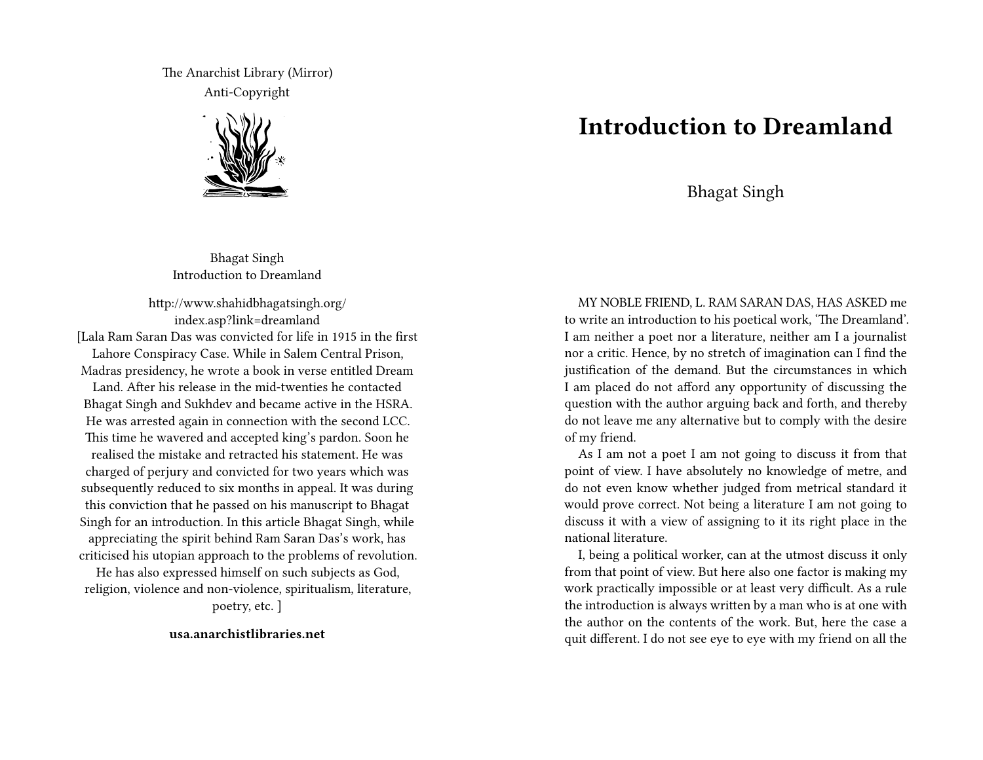The Anarchist Library (Mirror) Anti-Copyright



Bhagat Singh Introduction to Dreamland

http://www.shahidbhagatsingh.org/ index.asp?link=dreamland

[Lala Ram Saran Das was convicted for life in 1915 in the first Lahore Conspiracy Case. While in Salem Central Prison, Madras presidency, he wrote a book in verse entitled Dream Land. After his release in the mid-twenties he contacted Bhagat Singh and Sukhdev and became active in the HSRA. He was arrested again in connection with the second LCC. This time he wavered and accepted king's pardon. Soon he realised the mistake and retracted his statement. He was charged of perjury and convicted for two years which was subsequently reduced to six months in appeal. It was during this conviction that he passed on his manuscript to Bhagat Singh for an introduction. In this article Bhagat Singh, while appreciating the spirit behind Ram Saran Das's work, has criticised his utopian approach to the problems of revolution.

He has also expressed himself on such subjects as God, religion, violence and non-violence, spiritualism, literature, poetry, etc. ]

**usa.anarchistlibraries.net**

## **Introduction to Dreamland**

Bhagat Singh

MY NOBLE FRIEND, L. RAM SARAN DAS, HAS ASKED me to write an introduction to his poetical work, 'The Dreamland'. I am neither a poet nor a literature, neither am I a journalist nor a critic. Hence, by no stretch of imagination can I find the justification of the demand. But the circumstances in which I am placed do not afford any opportunity of discussing the question with the author arguing back and forth, and thereby do not leave me any alternative but to comply with the desire of my friend.

As I am not a poet I am not going to discuss it from that point of view. I have absolutely no knowledge of metre, and do not even know whether judged from metrical standard it would prove correct. Not being a literature I am not going to discuss it with a view of assigning to it its right place in the national literature.

I, being a political worker, can at the utmost discuss it only from that point of view. But here also one factor is making my work practically impossible or at least very difficult. As a rule the introduction is always written by a man who is at one with the author on the contents of the work. But, here the case a quit different. I do not see eye to eye with my friend on all the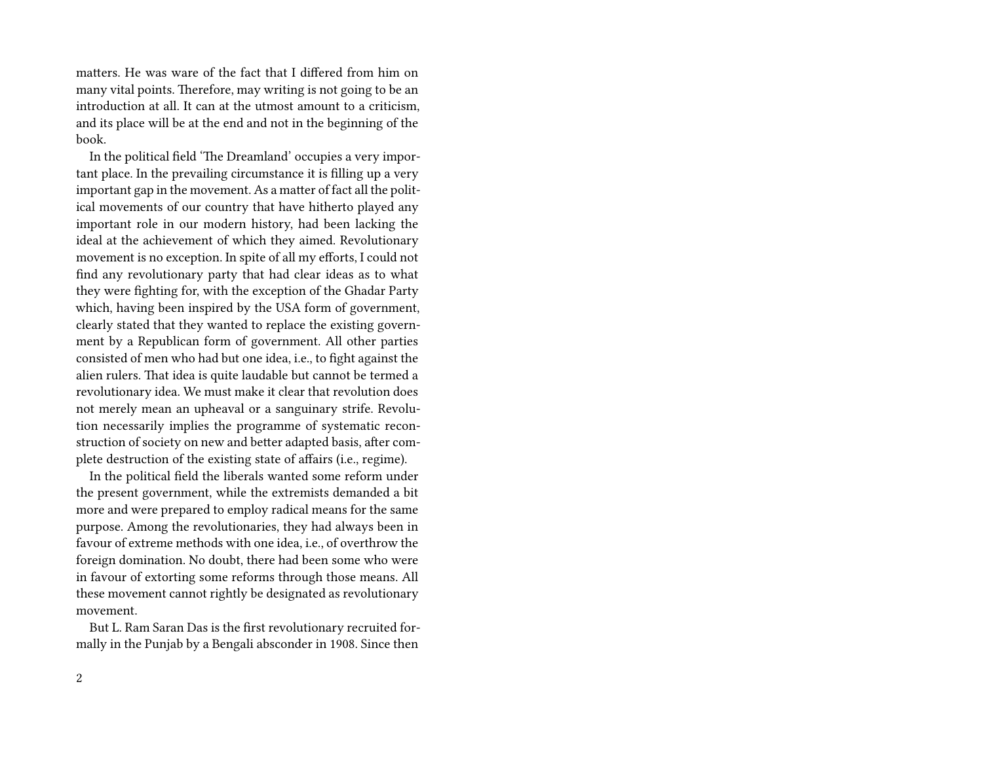matters. He was ware of the fact that I differed from him on many vital points. Therefore, may writing is not going to be an introduction at all. It can at the utmost amount to a criticism, and its place will be at the end and not in the beginning of the book.

In the political field 'The Dreamland' occupies a very important place. In the prevailing circumstance it is filling up a very important gap in the movement. As a matter of fact all the political movements of our country that have hitherto played any important role in our modern history, had been lacking the ideal at the achievement of which they aimed. Revolutionary movement is no exception. In spite of all my efforts, I could not find any revolutionary party that had clear ideas as to what they were fighting for, with the exception of the Ghadar Party which, having been inspired by the USA form of government, clearly stated that they wanted to replace the existing government by a Republican form of government. All other parties consisted of men who had but one idea, i.e., to fight against the alien rulers. That idea is quite laudable but cannot be termed a revolutionary idea. We must make it clear that revolution does not merely mean an upheaval or a sanguinary strife. Revolution necessarily implies the programme of systematic reconstruction of society on new and better adapted basis, after complete destruction of the existing state of affairs (i.e., regime).

In the political field the liberals wanted some reform under the present government, while the extremists demanded a bit more and were prepared to employ radical means for the same purpose. Among the revolutionaries, they had always been in favour of extreme methods with one idea, i.e., of overthrow the foreign domination. No doubt, there had been some who were in favour of extorting some reforms through those means. All these movement cannot rightly be designated as revolutionary movement.

But L. Ram Saran Das is the first revolutionary recruited formally in the Punjab by a Bengali absconder in 1908. Since then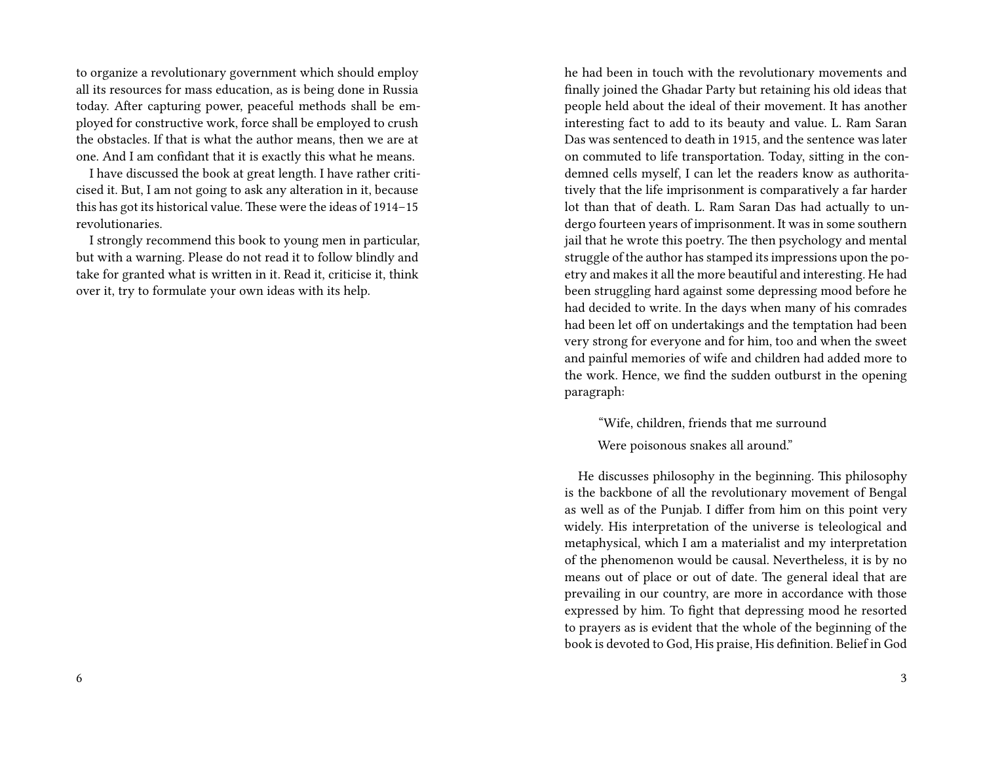to organize a revolutionary government which should employ all its resources for mass education, as is being done in Russia today. After capturing power, peaceful methods shall be employed for constructive work, force shall be employed to crush the obstacles. If that is what the author means, then we are at one. And I am confidant that it is exactly this what he means.

I have discussed the book at great length. I have rather criticised it. But, I am not going to ask any alteration in it, because this has got its historical value. These were the ideas of 1914–15 revolutionaries.

I strongly recommend this book to young men in particular, but with a warning. Please do not read it to follow blindly and take for granted what is written in it. Read it, criticise it, think over it, try to formulate your own ideas with its help.

he had been in touch with the revolutionary movements and finally joined the Ghadar Party but retaining his old ideas that people held about the ideal of their movement. It has another interesting fact to add to its beauty and value. L. Ram Saran Das was sentenced to death in 1915, and the sentence was later on commuted to life transportation. Today, sitting in the condemned cells myself, I can let the readers know as authoritatively that the life imprisonment is comparatively a far harder lot than that of death. L. Ram Saran Das had actually to undergo fourteen years of imprisonment. It was in some southern jail that he wrote this poetry. The then psychology and mental struggle of the author has stamped its impressions upon the poetry and makes it all the more beautiful and interesting. He had been struggling hard against some depressing mood before he had decided to write. In the days when many of his comrades had been let off on undertakings and the temptation had been very strong for everyone and for him, too and when the sweet and painful memories of wife and children had added more to the work. Hence, we find the sudden outburst in the opening paragraph:

"Wife, children, friends that me surround

Were poisonous snakes all around."

He discusses philosophy in the beginning. This philosophy is the backbone of all the revolutionary movement of Bengal as well as of the Punjab. I differ from him on this point very widely. His interpretation of the universe is teleological and metaphysical, which I am a materialist and my interpretation of the phenomenon would be causal. Nevertheless, it is by no means out of place or out of date. The general ideal that are prevailing in our country, are more in accordance with those expressed by him. To fight that depressing mood he resorted to prayers as is evident that the whole of the beginning of the book is devoted to God, His praise, His definition. Belief in God